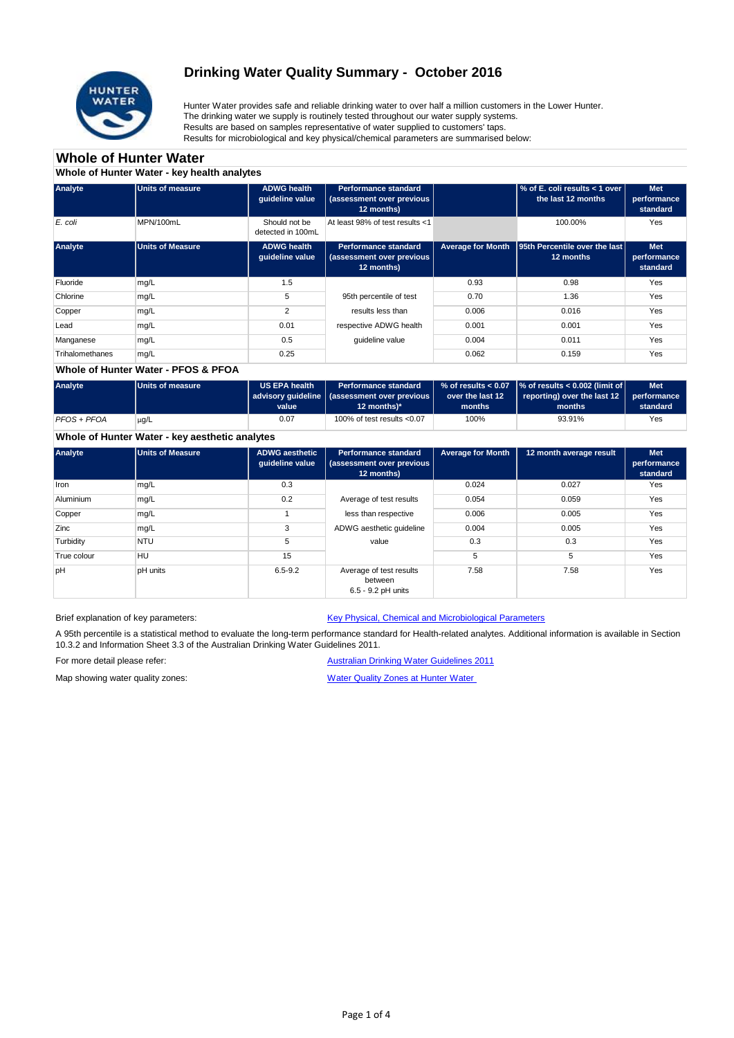

## **Drinking Water Quality Summary - October 2016**

Hunter Water provides safe and reliable drinking water to over half a million customers in the Lower Hunter. The drinking water we supply is routinely tested throughout our water supply systems. Results are based on samples representative of water supplied to customers' taps. Results for microbiological and key physical/chemical parameters are summarised below:

## **Whole of Hunter Water**

**Whole of Hunter Water - key health analytes**

| Analyte         | <b>Units of measure</b> | <b>ADWG health</b><br>quideline value | <b>Performance standard</b><br>(assessment over previous<br>12 months) |                          | % of E. coli results < 1 over<br>the last 12 months | <b>Met</b><br>performance<br>standard |
|-----------------|-------------------------|---------------------------------------|------------------------------------------------------------------------|--------------------------|-----------------------------------------------------|---------------------------------------|
| E. coli         | MPN/100mL               | Should not be<br>detected in 100mL    | At least 98% of test results <1                                        |                          | 100.00%                                             | Yes                                   |
| Analyte         | <b>Units of Measure</b> | <b>ADWG health</b><br>quideline value | <b>Performance standard</b><br>(assessment over previous<br>12 months) | <b>Average for Month</b> | <b>95th Percentile over the last</b><br>12 months   | <b>Met</b><br>performance<br>standard |
| Fluoride        | mg/L                    | 1.5                                   |                                                                        | 0.93                     | 0.98                                                | Yes                                   |
| Chlorine        | mg/L                    | 5                                     | 95th percentile of test                                                | 0.70                     | 1.36                                                | Yes                                   |
| Copper          | mg/L                    | $\overline{2}$                        | results less than                                                      | 0.006                    | 0.016                                               | Yes                                   |
| Lead            | mg/L                    | 0.01                                  | respective ADWG health                                                 | 0.001                    | 0.001                                               | Yes                                   |
| Manganese       | mg/L                    | 0.5                                   | quideline value                                                        | 0.004                    | 0.011                                               | Yes                                   |
| Trihalomethanes | mg/L                    | 0.25                                  |                                                                        | 0.062                    | 0.159                                               | Yes                                   |

#### **Whole of Hunter Water - PFOS & PFOA**

| Analyte     | Units of measure | US EPA health<br>value | <b>Performance standard</b><br>advisory quideline   (assessment over previous  <br>12 months $)^*$ | over the last 12<br>months | $\%$ of results < 0.07 $\%$ of results < 0.002 (limit of $\%$<br>reporting) over the last 12 $\vert$<br>months | <b>Met</b><br>performance<br>standard |
|-------------|------------------|------------------------|----------------------------------------------------------------------------------------------------|----------------------------|----------------------------------------------------------------------------------------------------------------|---------------------------------------|
| PFOS + PFOA | $\mu$ g/L        | 0.07                   | 100% of test results $< 0.07$                                                                      | 100%                       | 93.91%                                                                                                         | Yes                                   |

## **Whole of Hunter Water - key aesthetic analytes**

| Analyte          | Units of Measure | <b>ADWG aesthetic</b><br>quideline value | <b>Performance standard</b><br>(assessment over previous<br>12 months) | <b>Average for Month</b> | 12 month average result | <b>Met</b><br>performance<br>standard |
|------------------|------------------|------------------------------------------|------------------------------------------------------------------------|--------------------------|-------------------------|---------------------------------------|
| Iron             | mg/L             | 0.3                                      |                                                                        | 0.024                    | 0.027                   | Yes                                   |
| <b>Aluminium</b> | mg/L             | 0.2                                      | Average of test results                                                | 0.054                    | 0.059                   | Yes                                   |
| Copper           | mg/L             |                                          | less than respective                                                   | 0.006                    | 0.005                   | Yes                                   |
| Zinc             | mg/L             | 3                                        | ADWG aesthetic guideline                                               | 0.004                    | 0.005                   | Yes                                   |
| Turbidity        | <b>NTU</b>       | 5                                        | value                                                                  | 0.3                      | 0.3                     | Yes                                   |
| True colour      | HU               | 15                                       |                                                                        | 5                        | 5                       | Yes                                   |
| pH               | pH units         | $6.5 - 9.2$                              | Average of test results<br>between<br>6.5 - 9.2 pH units               | 7.58                     | 7.58                    | Yes                                   |

Brief explanation of key parameters: [Key Physical, Chemical and](http://www.hunterwater.com.au/Resources/Documents/Fact-Sheets/Water-Quality/Key-WQ-Parameters.pdf) Microbiological Parameters

A 95th percentile is a statistical method to evaluate the long-term performance standard for Health-related analytes. Additional information is available in Section 10.3.2 and Information Sheet 3.3 of the Australian Drinking Water Guidelines 2011.

For more detail please refer: <br>[Australian Drinking Water G](http://www.nhmrc.gov.au/guidelines/publications/eh52)uidelines 2011

Map showing water quality zones: [Water Quality Zones at Hun](http://www.hunterwater.com.au/Resources/Documents/Fact-Sheets/Water-Quality/Water-Supply-Zones---HWC.PDF)ter Water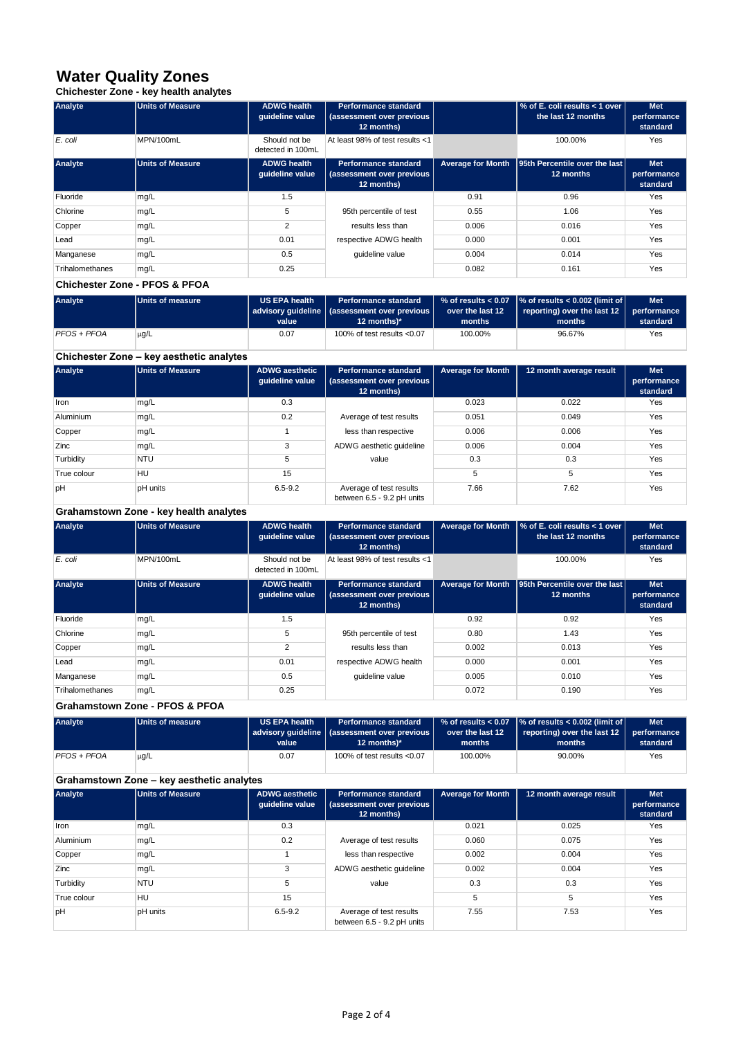## **Water Quality Zones**

**Chichester Zone - key health analytes**

| Analyte         | <b>Units of Measure</b> | <b>ADWG health</b><br>quideline value | <b>Performance standard</b><br>(assessment over previous  <br>12 months) |                          | │% of E. coli results < 1 over<br>the last 12 months | <b>Met</b><br>performance<br>standard |
|-----------------|-------------------------|---------------------------------------|--------------------------------------------------------------------------|--------------------------|------------------------------------------------------|---------------------------------------|
| E. coli         | MPN/100mL               | Should not be<br>detected in 100mL    | At least 98% of test results <1                                          |                          | 100.00%                                              | Yes                                   |
| Analyte         | <b>Units of Measure</b> | <b>ADWG health</b><br>quideline value | <b>Performance standard</b><br>(assessment over previous  <br>12 months) | <b>Average for Month</b> | <b>95th Percentile over the last</b><br>12 months    | <b>Met</b><br>performance<br>standard |
| Fluoride        | mg/L                    | 1.5                                   |                                                                          | 0.91                     | 0.96                                                 | Yes                                   |
| Chlorine        | mg/L                    | 5                                     | 95th percentile of test                                                  | 0.55                     | 1.06                                                 | Yes                                   |
| Copper          | mg/L                    | 2                                     | results less than                                                        | 0.006                    | 0.016                                                | Yes                                   |
| Lead            | mg/L                    | 0.01                                  | respective ADWG health                                                   | 0.000                    | 0.001                                                | Yes                                   |
| Manganese       | mg/L                    | 0.5                                   | quideline value                                                          | 0.004                    | 0.014                                                | Yes                                   |
| Trihalomethanes | mg/L                    | 0.25                                  |                                                                          | 0.082                    | 0.161                                                | Yes                                   |

#### **Chichester Zone - PFOS & PFOA**

| <b>Analyte</b> | Units of measure | <b>US EPA health</b><br>value | <b>Performance standard</b><br>  advisory quideline   (assessment over previous  <br>12 months)* | over the last 12<br>months | % of results < 0.07 $\,$  % of results < 0.002 (limit of $\,$<br>reporting) over the last $12$<br>months | <b>Met</b><br>performance<br>standard |
|----------------|------------------|-------------------------------|--------------------------------------------------------------------------------------------------|----------------------------|----------------------------------------------------------------------------------------------------------|---------------------------------------|
| PFOS + PFOA    | $\mu$ g/L        | 0.07                          | 100% of test results $< 0.07$                                                                    | 100.00%                    | 96.67%                                                                                                   | Yes                                   |

## **Chichester Zone – key aesthetic analytes**

| Analyte     | Units of Measure | <b>ADWG aesthetic</b><br>quideline value | <b>Performance standard</b><br>(assessment over previous | <b>Average for Month</b> | 12 month average result | <b>Met</b><br>performance |
|-------------|------------------|------------------------------------------|----------------------------------------------------------|--------------------------|-------------------------|---------------------------|
|             |                  |                                          | 12 months)                                               |                          |                         | standard                  |
| Iron        | mg/L             | 0.3                                      |                                                          | 0.023                    | 0.022                   | Yes                       |
| Aluminium   | mg/L             | 0.2                                      | Average of test results                                  | 0.051                    | 0.049                   | Yes                       |
| Copper      | mg/L             |                                          | less than respective                                     | 0.006                    | 0.006                   | Yes                       |
| Zinc        | mg/L             | 3                                        | ADWG aesthetic quideline                                 | 0.006                    | 0.004                   | Yes                       |
| Turbidity   | <b>NTU</b>       | 5                                        | value                                                    | 0.3                      | 0.3                     | Yes                       |
| True colour | HU               | 15                                       |                                                          | 5                        | 5                       | Yes                       |
| pH          | pH units         | $6.5 - 9.2$                              | Average of test results<br>between 6.5 - 9.2 pH units    | 7.66                     | 7.62                    | Yes                       |

## **Grahamstown Zone - key health analytes**

| Analyte         | <b>Units of Measure</b> | <b>ADWG health</b><br>quideline value | <b>Performance standard</b><br>(assessment over previous  <br>12 months) | <b>Average for Month</b> | $\frac{1}{6}$ of E. coli results < 1 over<br>the last 12 months | <b>Met</b><br>performance<br>standard |
|-----------------|-------------------------|---------------------------------------|--------------------------------------------------------------------------|--------------------------|-----------------------------------------------------------------|---------------------------------------|
| E. coli         | MPN/100mL               | Should not be<br>detected in 100mL    | At least 98% of test results <1                                          |                          | 100.00%                                                         | Yes                                   |
| Analyte         | <b>Units of Measure</b> | <b>ADWG health</b><br>quideline value | <b>Performance standard</b><br>(assessment over previous<br>12 months)   | <b>Average for Month</b> | <b>95th Percentile over the last</b><br>12 months               | <b>Met</b><br>performance<br>standard |
| Fluoride        | mg/L                    | 1.5                                   |                                                                          | 0.92                     | 0.92                                                            | Yes                                   |
| Chlorine        | mg/L                    | 5                                     | 95th percentile of test                                                  | 0.80                     | 1.43                                                            | Yes                                   |
| Copper          | mg/L                    | 2                                     | results less than                                                        | 0.002                    | 0.013                                                           | Yes                                   |
| Lead            | mg/L                    | 0.01                                  | respective ADWG health                                                   | 0.000                    | 0.001                                                           | Yes                                   |
| Manganese       | mg/L                    | 0.5                                   | quideline value                                                          | 0.005                    | 0.010                                                           | Yes                                   |
| Trihalomethanes | mg/L                    | 0.25                                  |                                                                          | 0.072                    | 0.190                                                           | Yes                                   |

## **Grahamstown Zone - PFOS & PFOA**

| Analyte     | Units of measure | US EPA health | <b>Performance standard</b>                    |                  | $\%$ of results < 0.07 $\%$ of results < 0.002 (limit of $\frac{1}{2}$ | <b>Met</b>  |
|-------------|------------------|---------------|------------------------------------------------|------------------|------------------------------------------------------------------------|-------------|
|             |                  |               | advisory quideline   (assessment over previous | over the last 12 | $\vert$ reporting) over the last 12 $\vert$                            | performance |
|             |                  | value         | 12 months $)^*$                                | months           | months                                                                 | standard    |
| PFOS + PFOA | $\mu$ g/L        | 0.07          | 100% of test results $< 0.07$                  | 100.00%          | 90.00%                                                                 | Yes         |

## **Grahamstown Zone – key aesthetic analytes**

| Analyte          | <b>Units of Measure</b> | <b>ADWG aesthetic</b><br>quideline value | <b>Performance standard</b><br>(assessment over previous  <br>12 months) | <b>Average for Month</b> | 12 month average result | <b>Met</b><br>performance<br>standard |
|------------------|-------------------------|------------------------------------------|--------------------------------------------------------------------------|--------------------------|-------------------------|---------------------------------------|
| Iron             | mg/L                    | 0.3                                      |                                                                          | 0.021                    | 0.025                   | Yes                                   |
| <b>Aluminium</b> | mg/L                    | 0.2                                      | Average of test results                                                  | 0.060                    | 0.075                   | Yes                                   |
| Copper           | mg/L                    |                                          | less than respective                                                     | 0.002                    | 0.004                   | Yes                                   |
| Zinc             | mg/L                    | 3                                        | ADWG aesthetic quideline                                                 | 0.002                    | 0.004                   | Yes                                   |
| Turbidity        | <b>NTU</b>              | 5                                        | value                                                                    | 0.3                      | 0.3                     | Yes                                   |
| True colour      | HU                      | 15                                       |                                                                          | 5                        | 5                       | Yes                                   |
| bH               | <b>pH</b> units         | $6.5 - 9.2$                              | Average of test results<br>between 6.5 - 9.2 pH units                    | 7.55                     | 7.53                    | Yes                                   |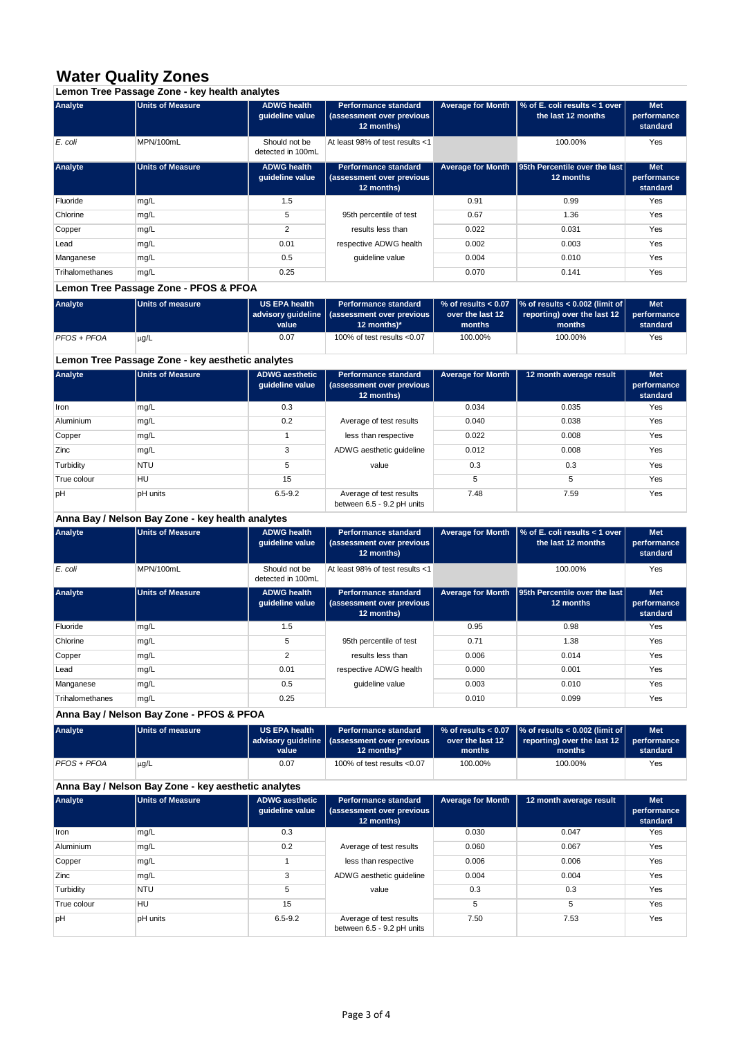## **Water Quality Zones**

**Lemon Tree Passage Zone - key health analytes**

| Analyte         | <b>Units of Measure</b> | <b>ADWG health</b><br>quideline value | <b>Performance standard</b><br>(assessment over previous<br>12 months)   | <b>Average for Month</b> | $\frac{1}{6}$ of E. coli results < 1 over<br>the last 12 months | <b>Met</b><br>performance<br>standard |
|-----------------|-------------------------|---------------------------------------|--------------------------------------------------------------------------|--------------------------|-----------------------------------------------------------------|---------------------------------------|
| E. coli         | MPN/100mL               | Should not be<br>detected in 100mL    | At least 98% of test results <1                                          |                          | 100.00%                                                         | Yes                                   |
| Analyte         | <b>Units of Measure</b> | <b>ADWG health</b><br>quideline value | <b>Performance standard</b><br>(assessment over previous  <br>12 months) | <b>Average for Month</b> | 95th Percentile over the last<br>12 months                      | <b>Met</b><br>performance<br>standard |
| Fluoride        | mg/L                    | 1.5                                   |                                                                          | 0.91                     | 0.99                                                            | Yes                                   |
| Chlorine        | mg/L                    | 5                                     | 95th percentile of test                                                  | 0.67                     | 1.36                                                            | Yes                                   |
| Copper          | mg/L                    | 2                                     | results less than                                                        | 0.022                    | 0.031                                                           | Yes                                   |
| Lead            | mg/L                    | 0.01                                  | respective ADWG health                                                   | 0.002                    | 0.003                                                           | Yes                                   |
| Manganese       | mg/L                    | 0.5                                   | quideline value                                                          | 0.004                    | 0.010                                                           | Yes                                   |
| Trihalomethanes | mg/L                    | 0.25                                  |                                                                          | 0.070                    | 0.141                                                           | Yes                                   |

## **Lemon Tree Passage Zone - PFOS & PFOA**

| <b>Analyte</b> | Units of measure | <b>US EPA health</b><br>value | <b>Performance standard</b><br>  advisory quideline   (assessment over previous  <br>12 months $)^*$ | over the last 12<br>months | % of results < $0.07$ $\sqrt{\ }$ of results < $0.002$ (limit of<br>reporting) over the last 12<br>months | <b>Met</b><br>performance<br>standard |
|----------------|------------------|-------------------------------|------------------------------------------------------------------------------------------------------|----------------------------|-----------------------------------------------------------------------------------------------------------|---------------------------------------|
| PFOS + PFOA    | $\mu$ g/L        | 0.07                          | 100% of test results $< 0.07$                                                                        | 100.00%                    | 100.00%                                                                                                   | Yes                                   |

## **Lemon Tree Passage Zone - key aesthetic analytes**

| Analyte     | Units of Measure | <b>ADWG aesthetic</b><br>quideline value | <b>Performance standard</b><br>(assessment over previous  <br>12 months) | <b>Average for Month</b> | 12 month average result | <b>Met</b><br>performance<br>standard |
|-------------|------------------|------------------------------------------|--------------------------------------------------------------------------|--------------------------|-------------------------|---------------------------------------|
| Iron        | mg/L             | 0.3                                      |                                                                          | 0.034                    | 0.035                   | Yes                                   |
| Aluminium   | mg/L             | 0.2                                      | Average of test results                                                  | 0.040                    | 0.038                   | Yes                                   |
| Copper      | mg/L             |                                          | less than respective                                                     | 0.022                    | 0.008                   | Yes                                   |
| Zinc        | mg/L             | 3                                        | ADWG aesthetic quideline                                                 | 0.012                    | 0.008                   | Yes                                   |
| Turbidity   | <b>NTU</b>       | 5                                        | value                                                                    | 0.3                      | 0.3                     | Yes                                   |
| True colour | HU               | 15                                       |                                                                          | 5                        | 5                       | Yes                                   |
| pH          | pH units         | $6.5 - 9.2$                              | Average of test results<br>between 6.5 - 9.2 pH units                    | 7.48                     | 7.59                    | Yes                                   |

## **Anna Bay / Nelson Bay Zone - key health analytes**

| Analyte         | <b>Units of Measure</b> | <b>ADWG health</b><br>quideline value | <b>Performance standard</b><br>(assessment over previous<br>12 months) | <b>Average for Month</b> | $\frac{1}{6}$ of E. coli results < 1 over<br>the last 12 months | <b>Met</b><br>performance<br>standard |
|-----------------|-------------------------|---------------------------------------|------------------------------------------------------------------------|--------------------------|-----------------------------------------------------------------|---------------------------------------|
| E. coli         | MPN/100mL               | Should not be<br>detected in 100mL    | At least 98% of test results <1                                        |                          | 100.00%                                                         | Yes                                   |
| Analyte         | <b>Units of Measure</b> | <b>ADWG health</b><br>quideline value | <b>Performance standard</b><br>(assessment over previous<br>12 months) | <b>Average for Month</b> | <b>95th Percentile over the last</b><br>12 months               | <b>Met</b><br>performance<br>standard |
| Fluoride        | mg/L                    | 1.5                                   |                                                                        | 0.95                     | 0.98                                                            | Yes                                   |
| Chlorine        | mg/L                    | 5                                     | 95th percentile of test                                                | 0.71                     | 1.38                                                            | Yes                                   |
| Copper          | mg/L                    | $\overline{2}$                        | results less than                                                      | 0.006                    | 0.014                                                           | Yes                                   |
| Lead            | mg/L                    | 0.01                                  | respective ADWG health                                                 | 0.000                    | 0.001                                                           | Yes                                   |
| Manganese       | mg/L                    | 0.5                                   | quideline value                                                        | 0.003                    | 0.010                                                           | Yes                                   |
| Trihalomethanes | mg/L                    | 0.25                                  |                                                                        | 0.010                    | 0.099                                                           | Yes                                   |

## **Anna Bay / Nelson Bay Zone - PFOS & PFOA**

| Analyte     | Units of measure | <b>US EPA health</b> | <b>Performance standard</b>                    |                  | % of results < $0.07$ $\sqrt{\ }$ of results < $0.002$ (limit of | <b>Met</b>  |
|-------------|------------------|----------------------|------------------------------------------------|------------------|------------------------------------------------------------------|-------------|
|             |                  |                      | advisory quideline   (assessment over previous | over the last 12 | reporting) over the last 12                                      | performance |
|             |                  | value                | 12 months $)^*$                                | months           | months                                                           | standard    |
| PFOS + PFOA | $\mu$ g/L        | 0.07                 | 100% of test results $< 0.07$                  | 100.00%          | 100.00%                                                          | Yes         |

## **Anna Bay / Nelson Bay Zone - key aesthetic analytes**

| Analyte          | <b>Units of Measure</b> | <b>ADWG aesthetic</b><br>quideline value | <b>Performance standard</b><br>(assessment over previous<br>12 months) | <b>Average for Month</b> | 12 month average result | <b>Met</b><br>performance<br>standard |
|------------------|-------------------------|------------------------------------------|------------------------------------------------------------------------|--------------------------|-------------------------|---------------------------------------|
| Iron             | mg/L                    | 0.3                                      |                                                                        | 0.030                    | 0.047                   | Yes                                   |
| <b>Aluminium</b> | mg/L                    | 0.2                                      | Average of test results                                                | 0.060                    | 0.067                   | Yes                                   |
| Copper           | mg/L                    |                                          | less than respective                                                   | 0.006                    | 0.006                   | Yes                                   |
| Zinc             | mg/L                    | 3                                        | ADWG aesthetic quideline                                               | 0.004                    | 0.004                   | Yes                                   |
| Turbidity        | <b>NTU</b>              | 5                                        | value                                                                  | 0.3                      | 0.3                     | Yes                                   |
| True colour      | HU                      | 15                                       |                                                                        | 5                        | 5                       | Yes                                   |
| bH               | <b>pH</b> units         | $6.5 - 9.2$                              | Average of test results<br>between 6.5 - 9.2 pH units                  | 7.50                     | 7.53                    | Yes                                   |